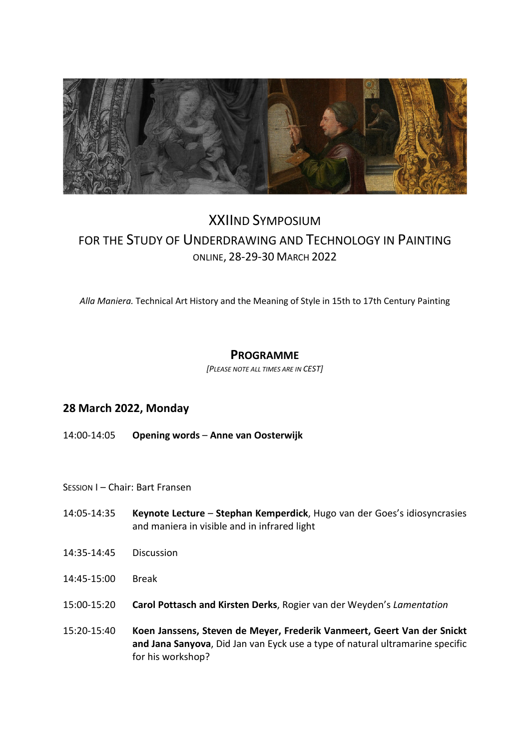

# XXIIND SYMPOSIUM FOR THE STUDY OF UNDERDRAWING AND TECHNOLOGY IN PAINTING ONLINE, 28-29-30 MARCH 2022

*Alla Maniera.* Technical Art History and the Meaning of Style in 15th to 17th Century Painting

# **PROGRAMME**

*[PLEASE NOTE ALL TIMES ARE IN CEST]* 

# **28 March 2022, Monday**

- 14:00-14:05 **Opening words** – **Anne van Oosterwijk**
- SESSION I Chair: Bart Fransen
- 14:05-14:35 **Keynote Lecture Stephan Kemperdick**, Hugo van der Goes's idiosyncrasies and maniera in visible and in infrared light
- 14:35-14:45 Discussion
- 14:45-15:00 Break
- 15:00-15:20 **Carol Pottasch and Kirsten Derks**, Rogier van der Weyden's *Lamentation*
- 15:20-15:40 **Koen Janssens, Steven de Meyer, Frederik Vanmeert, Geert Van der Snickt and Jana Sanyova**, Did Jan van Eyck use a type of natural ultramarine specific for his workshop?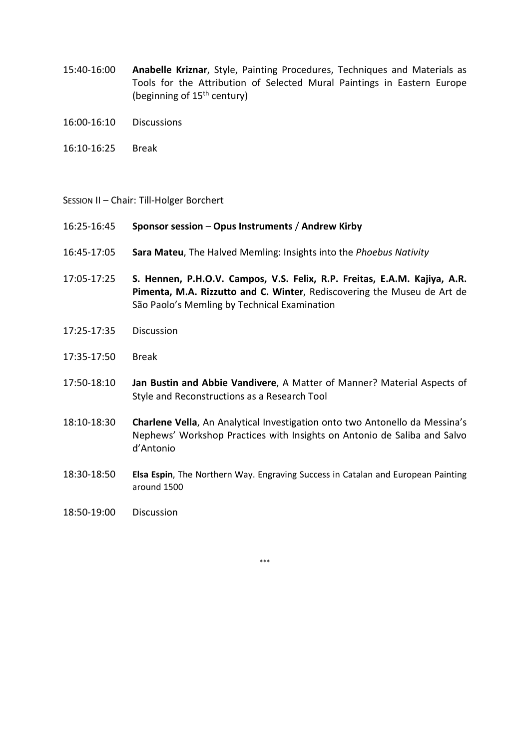- 15:40-16:00 **Anabelle Kriznar**, Style, Painting Procedures, Techniques and Materials as Tools for the Attribution of Selected Mural Paintings in Eastern Europe (beginning of  $15<sup>th</sup>$  century)
- 16:00-16:10 Discussions
- 16:10-16:25 Break

#### SESSION II – Chair: Till-Holger Borchert

- 16:25-16:45 **Sponsor session** – **Opus Instruments** / **Andrew Kirby**
- 16:45-17:05 **Sara Mateu**, The Halved Memling: Insights into the *Phoebus Nativity*
- 17:05-17:25 **S. Hennen, P.H.O.V. Campos, V.S. Felix, R.P. Freitas, E.A.M. Kajiya, A.R. Pimenta, M.A. Rizzutto and C. Winter**, Rediscovering the Museu de Art de São Paolo's Memling by Technical Examination
- 17:25-17:35 Discussion
- 17:35-17:50 Break
- 17:50-18:10 **Jan Bustin and Abbie Vandivere**, A Matter of Manner? Material Aspects of Style and Reconstructions as a Research Tool
- 18:10-18:30 **Charlene Vella**, An Analytical Investigation onto two Antonello da Messina's Nephews' Workshop Practices with Insights on Antonio de Saliba and Salvo d'Antonio
- 18:30-18:50 **Elsa Espin**, The Northern Way. Engraving Success in Catalan and European Painting around 1500
- 18:50-19:00 Discussion

\*\*\*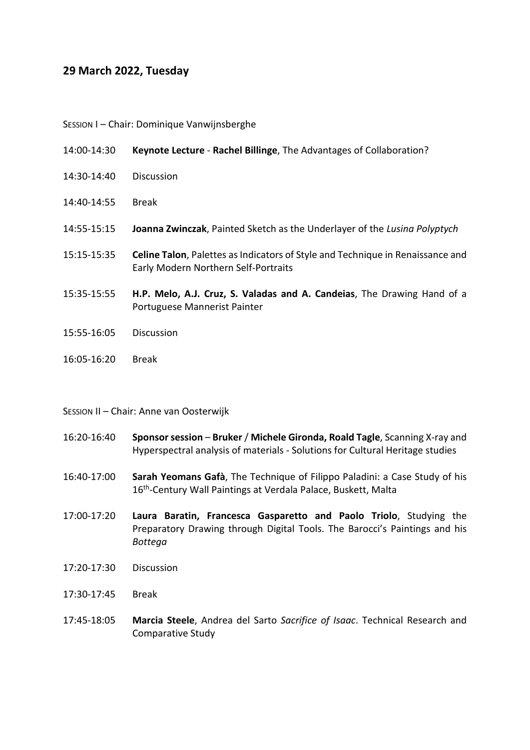## **29 March 2022, Tuesday**

SESSION I – Chair: Dominique Vanwijnsberghe

| 14:00-14:30 | Keynote Lecture - Rachel Billinge, The Advantages of Collaboration? |  |
|-------------|---------------------------------------------------------------------|--|
|-------------|---------------------------------------------------------------------|--|

- 14:30-14:40 Discussion
- 14:40-14:55 Break
- 14:55-15:15 **Joanna Zwinczak**, Painted Sketch as the Underlayer of the *Lusina Polyptych*
- 15:15-15:35 **Celine Talon**, Palettes as Indicators of Style and Technique in Renaissance and Early Modern Northern Self-Portraits
- 15:35-15:55 **H.P. Melo, A.J. Cruz, S. Valadas and A. Candeias**, The Drawing Hand of a Portuguese Mannerist Painter
- 15:55-16:05 Discussion
- 16:05-16:20 Break

#### SESSION II – Chair: Anne van Oosterwijk

- 16:20-16:40 **Sponsor session** – **Bruker** / **Michele Gironda, Roald Tagle**, Scanning X-ray and Hyperspectral analysis of materials - Solutions for Cultural Heritage studies
- 16:40-17:00 **Sarah Yeomans Gafà**, The Technique of Filippo Paladini: a Case Study of his 16<sup>th</sup>-Century Wall Paintings at Verdala Palace, Buskett, Malta
- 17:00-17:20 **Laura Baratin, Francesca Gasparetto and Paolo Triolo**, Studying the Preparatory Drawing through Digital Tools. The Barocci's Paintings and his *Bottega*
- 17:20-17:30 Discussion
- 17:30-17:45 Break
- 17:45-18:05 **Marcia Steele**, Andrea del Sarto *Sacrifice of Isaac*. Technical Research and Comparative Study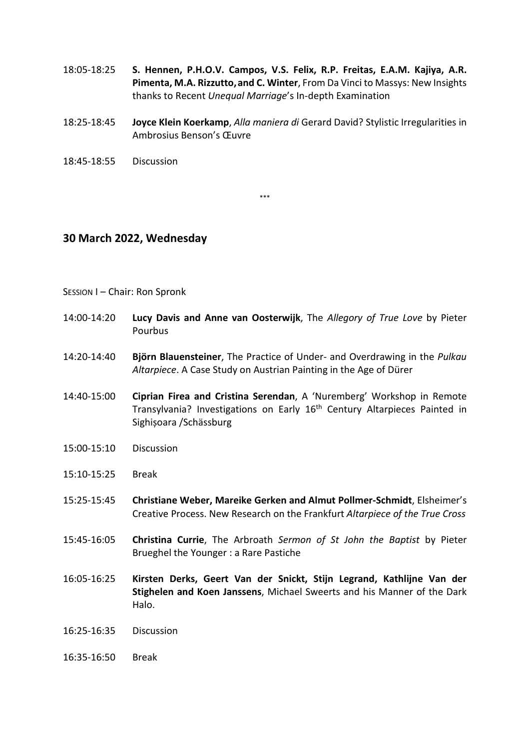- 18:05-18:25 **S. Hennen, P.H.O.V. Campos, V.S. Felix, R.P. Freitas, E.A.M. Kajiya, A.R. Pimenta, M.A. Rizzutto,and C. Winter**, From Da Vinci to Massys: New Insights thanks to Recent *Unequal Marriage*'s In-depth Examination
- 18:25-18:45 **Joyce Klein Koerkamp**, *Alla maniera di* Gerard David? Stylistic Irregularities in Ambrosius Benson's Œuvre
- 18:45-18:55 Discussion

\*\*\*

## **30 March 2022, Wednesday**

#### SESSION I – Chair: Ron Spronk

- 14:00-14:20 **Lucy Davis and Anne van Oosterwijk**, The *Allegory of True Love* by Pieter Pourbus
- 14:20-14:40 **Björn Blauensteiner**, The Practice of Under- and Overdrawing in the *Pulkau Altarpiece*. A Case Study on Austrian Painting in the Age of Dürer
- 14:40-15:00 **Ciprian Firea and Cristina Serendan**, A 'Nuremberg' Workshop in Remote Transylvania? Investigations on Early 16<sup>th</sup> Century Altarpieces Painted in Sighișoara /Schässburg
- 15:00-15:10 Discussion
- 15:10-15:25 Break
- 15:25-15:45 **Christiane Weber, Mareike Gerken and Almut Pollmer-Schmidt**, Elsheimer's Creative Process. New Research on the Frankfurt *Altarpiece of the True Cross*
- 15:45-16:05 **Christina Currie**, The Arbroath *Sermon of St John the Baptist* by Pieter Brueghel the Younger : a Rare Pastiche
- 16:05-16:25 **Kirsten Derks, Geert Van der Snickt, Stijn Legrand, Kathlijne Van der Stighelen and Koen Janssens**, Michael Sweerts and his Manner of the Dark Halo.
- 16:25-16:35 Discussion
- 16:35-16:50 Break